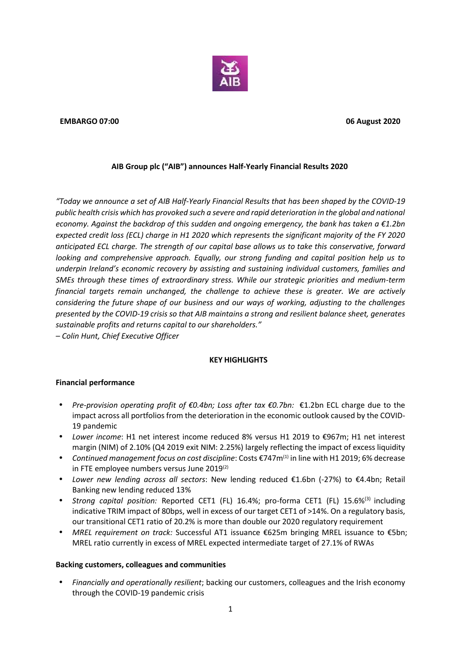

#### **EMBARGO 07:00 06 August 2020**

## **AIB Group plc ("AIB") announces Half-Yearly Financial Results 2020**

*"Today we announce a set of AIB Half-Yearly Financial Results that has been shaped by the COVID-19 public health crisis which has provoked such a severe and rapid deterioration in the global and national economy. Against the backdrop of this sudden and ongoing emergency, the bank has taken a €1.2bn expected credit loss (ECL) charge in H1 2020 which represents the significant majority of the FY 2020 anticipated ECL charge. The strength of our capital base allows us to take this conservative, forward looking and comprehensive approach. Equally, our strong funding and capital position help us to underpin Ireland's economic recovery by assisting and sustaining individual customers, families and SMEs through these times of extraordinary stress. While our strategic priorities and medium-term financial targets remain unchanged, the challenge to achieve these is greater. We are actively considering the future shape of our business and our ways of working, adjusting to the challenges presented by the COVID-19 crisis so that AIB maintains a strong and resilient balance sheet, generates sustainable profits and returns capital to our shareholders."*

*– Colin Hunt, Chief Executive Officer*

## **KEY HIGHLIGHTS**

## **Financial performance**

- *Pre-provision operating profit of €0.4bn; Loss after tax €0.7bn:* €1.2bn ECL charge due to the impact across all portfolios from the deterioration in the economic outlook caused by the COVID- 19 pandemic
- *Lower income*: H1 net interest income reduced 8% versus H1 2019 to €967m; H1 net interest margin (NIM) of 2.10% (Q4 2019 exit NIM: 2.25%) largely reflecting the impact of excess liquidity
- *Continued management focus on cost discipline*: Costs €747m(1) in line with H1 2019; 6% decrease in FTE employee numbers versus June 2019(2)
- *Lower new lending across all sectors*: New lending reduced €1.6bn (-27%) to €4.4bn; Retail Banking new lending reduced 13%
- *Strong capital position:* Reported CET1 (FL) 16.4%; pro-forma CET1 (FL) 15.6%<sup>(3)</sup> including indicative TRIM impact of 80bps, well in excess of our target CET1 of >14%. On a regulatory basis, our transitional CET1 ratio of 20.2% is more than double our 2020 regulatory requirement
- *MREL requirement on track:* Successful AT1 issuance €625m bringing MREL issuance to €5bn; MREL ratio currently in excess of MREL expected intermediate target of 27.1% of RWAs

## **Backing customers, colleagues and communities**

 *Financially and operationally resilient*; backing our customers, colleagues and the Irish economy through the COVID-19 pandemic crisis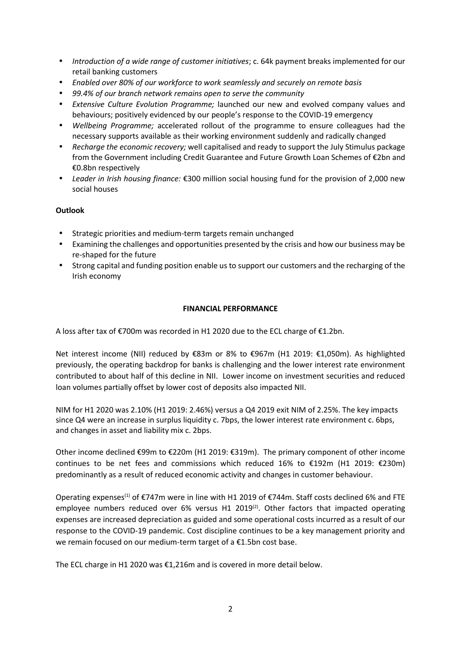- *Introduction of a wide range of customer initiatives*; c. 64k payment breaks implemented for our retail banking customers
- *Enabled over 80% of our workforce to work seamlessly and securely on remote basis*
- *99.4% of our branch network remains open to serve the community*
- *Extensive Culture Evolution Programme;* launched our new and evolved company values and behaviours; positively evidenced by our people's response to the COVID-19 emergency
- *Wellbeing Programme;* accelerated rollout of the programme to ensure colleagues had the necessary supports available as their working environment suddenly and radically changed
- *Recharge the economic recovery;* well capitalised and ready to support the July Stimulus package from the Government including Credit Guarantee and Future Growth Loan Schemes of €2bn and €0.8bn respectively
- *Leader in Irish housing finance:* €300 million social housing fund for the provision of 2,000 new social houses

# **Outlook**

- Strategic priorities and medium-term targets remain unchanged
- Examining the challenges and opportunities presented by the crisis and how our business may be re-shaped for the future
- Strong capital and funding position enable us to support our customers and the recharging of the Irish economy

## **FINANCIAL PERFORMANCE**

A loss after tax of €700m was recorded in H1 2020 due to the ECL charge of €1.2bn.

Net interest income (NII) reduced by €83m or 8% to €967m (H1 2019: €1,050m). As highlighted previously, the operating backdrop for banks is challenging and the lower interest rate environment contributed to about half of this decline in NII. Lower income on investment securities and reduced loan volumes partially offset by lower cost of deposits also impacted NII.

NIM for H1 2020 was 2.10% (H1 2019: 2.46%) versus a Q4 2019 exit NIM of 2.25%. The key impacts since Q4 were an increase in surplus liquidity c. 7bps, the lower interest rate environment c. 6bps, and changes in asset and liability mix c. 2bps.

Other income declined €99m to €220m (H1 2019: €319m). The primary component of other income continues to be net fees and commissions which reduced 16% to €192m (H1 2019: €230m) predominantly as a result of reduced economic activity and changes in customer behaviour.

Operating expenses<sup>(1)</sup> of  $\epsilon$ 747m were in line with H1 2019 of  $\epsilon$ 744m. Staff costs declined 6% and FTE employee numbers reduced over 6% versus H1 2019<sup>(2)</sup>. Other factors that impacted operating expenses are increased depreciation as guided and some operational costs incurred as a result of our response to the COVID-19 pandemic. Cost discipline continues to be a key management priority and we remain focused on our medium-term target of a €1.5bn cost base.

The ECL charge in H1 2020 was €1,216m and is covered in more detail below.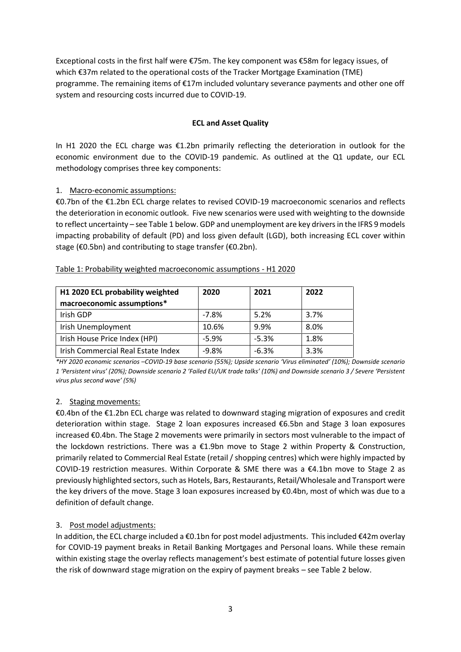Exceptional costs in the first half were €75m. The key component was €58m for legacy issues, of which €37m related to the operational costs of the Tracker Mortgage Examination (TME) programme. The remaining items of €17m included voluntary severance payments and other one off system and resourcing costs incurred due to COVID-19.

## **ECL and Asset Quality**

In H1 2020 the ECL charge was €1.2bn primarily reflecting the deterioration in outlook for the economic environment due to the COVID-19 pandemic. As outlined at the Q1 update, our ECL methodology comprises three key components:

# 1. Macro-economic assumptions:

€0.7bn of the €1.2bn ECL charge relates to revised COVID-19 macroeconomic scenarios and reflects the deterioration in economic outlook. Five new scenarios were used with weighting to the downside to reflect uncertainty – see Table 1 below. GDP and unemployment are key drivers in the IFRS 9 models impacting probability of default (PD) and loss given default (LGD), both increasing ECL cover within stage (€0.5bn) and contributing to stage transfer (€0.2bn).

| H1 2020 ECL probability weighted<br>macroeconomic assumptions* | 2020    | 2021    | 2022 |
|----------------------------------------------------------------|---------|---------|------|
| Irish GDP                                                      | $-7.8%$ | 5.2%    | 3.7% |
| Irish Unemployment                                             | 10.6%   | 9.9%    | 8.0% |
| Irish House Price Index (HPI)                                  | $-5.9%$ | $-5.3%$ | 1.8% |
| Irish Commercial Real Estate Index                             | $-9.8%$ | $-6.3%$ | 3.3% |

## Table 1: Probability weighted macroeconomic assumptions - H1 2020

*\*HY 2020 economic scenarios –COVID-19 base scenario (55%); Upside scenario 'Virus eliminated' (10%); Downside scenario 1 'Persistent virus' (20%); Downside scenario 2 'Failed EU/UK trade talks' (10%) and Downside scenario 3 / Severe 'Persistent virus plus second wave' (5%)*

# 2. Staging movements:

€0.4bn of the €1.2bn ECL charge was related to downward staging migration of exposures and credit deterioration within stage. Stage 2 loan exposures increased €6.5bn and Stage 3 loan exposures increased €0.4bn. The Stage 2 movements were primarily in sectors most vulnerable to the impact of the lockdown restrictions. There was a €1.9bn move to Stage 2 within Property & Construction, primarily related to Commercial Real Estate (retail / shopping centres) which were highly impacted by COVID-19 restriction measures. Within Corporate & SME there was a  $\epsilon$ 4.1bn move to Stage 2 as previously highlighted sectors, such as Hotels, Bars, Restaurants, Retail/Wholesale and Transport were the key drivers of the move. Stage 3 loan exposures increased by €0.4bn, most of which was due to a definition of default change.

# 3. Post model adjustments:

In addition, the ECL charge included a €0.1bn for post model adjustments. This included €42m overlay for COVID-19 payment breaks in Retail Banking Mortgages and Personal loans. While these remain within existing stage the overlay reflects management's best estimate of potential future losses given the risk of downward stage migration on the expiry of payment breaks – see Table 2 below.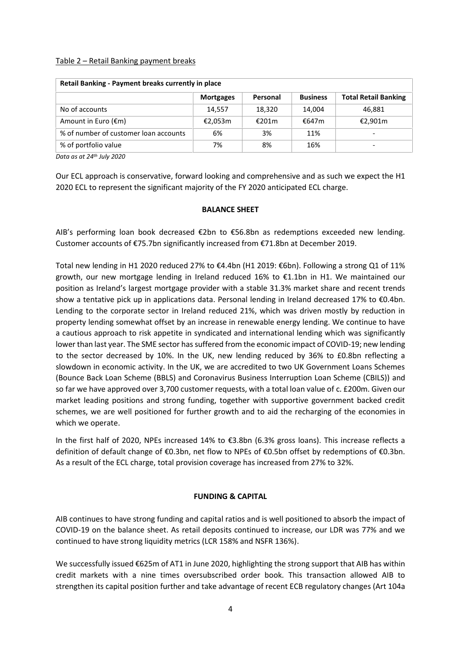#### Table 2 – Retail Banking payment breaks

| Retail Banking - Payment breaks currently in place |                  |          |                 |                             |  |
|----------------------------------------------------|------------------|----------|-----------------|-----------------------------|--|
|                                                    | <b>Mortgages</b> | Personal | <b>Business</b> | <b>Total Retail Banking</b> |  |
| No of accounts                                     | 14,557           | 18,320   | 14,004          | 46,881                      |  |
| Amount in Euro (€m)                                | €2,053m          | €201m    | €647m           | €2,901m                     |  |
| % of number of customer loan accounts              | 6%               | 3%       | 11%             | $\overline{\phantom{0}}$    |  |
| % of portfolio value                               | 7%               | 8%       | 16%             |                             |  |

*Data as at 24th July 2020*

Our ECL approach is conservative, forward looking and comprehensive and as such we expect the H1 2020 ECL to represent the significant majority of the FY 2020 anticipated ECL charge.

#### **BALANCE SHEET**

AIB's performing loan book decreased €2bn to €56.8bn as redemptions exceeded new lending. Customer accounts of €75.7bn significantly increased from €71.8bn at December 2019.

Total new lending in H1 2020 reduced 27% to €4.4bn (H1 2019: €6bn). Following a strong Q1 of 11% growth, our new mortgage lending in Ireland reduced 16% to €1.1bn in H1. We maintained our position as Ireland's largest mortgage provider with a stable 31.3% market share and recent trends show a tentative pick up in applications data. Personal lending in Ireland decreased 17% to €0.4bn. Lending to the corporate sector in Ireland reduced 21%, which was driven mostly by reduction in property lending somewhat offset by an increase in renewable energy lending. We continue to have a cautious approach to risk appetite in syndicated and international lending which was significantly lower than last year. The SME sector has suffered from the economic impact of COVID-19; new lending to the sector decreased by 10%. In the UK, new lending reduced by 36% to £0.8bn reflecting a slowdown in economic activity. In the UK, we are accredited to two UK Government Loans Schemes (Bounce Back Loan Scheme (BBLS) and Coronavirus Business Interruption Loan Scheme (CBILS)) and so far we have approved over 3,700 customer requests, with a total loan value of c. £200m. Given our market leading positions and strong funding, together with supportive government backed credit schemes, we are well positioned for further growth and to aid the recharging of the economies in which we operate.

In the first half of 2020, NPEs increased 14% to €3.8bn (6.3% gross loans). This increase reflects a definition of default change of €0.3bn, net flow to NPEs of €0.5bn offset by redemptions of €0.3bn. As a result of the ECL charge, total provision coverage has increased from 27% to 32%.

## **FUNDING & CAPITAL**

AIB continues to have strong funding and capital ratios and is well positioned to absorb the impact of COVID-19 on the balance sheet. As retail deposits continued to increase, our LDR was 77% and we continued to have strong liquidity metrics (LCR 158% and NSFR 136%).

We successfully issued €625m of AT1 in June 2020, highlighting the strong support that AIB has within credit markets with a nine times oversubscribed order book. This transaction allowed AIB to strengthen its capital position further and take advantage of recent ECB regulatory changes (Art 104a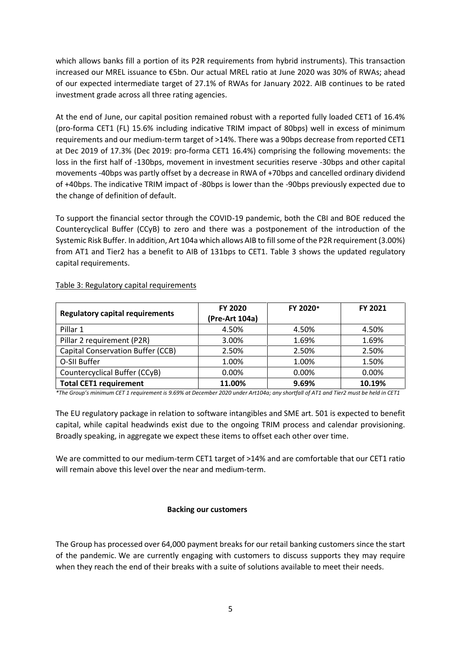which allows banks fill a portion of its P2R requirements from hybrid instruments). This transaction increased our MREL issuance to €5bn. Our actual MREL ratio at June 2020 was 30% of RWAs; ahead of our expected intermediate target of 27.1% of RWAs for January 2022. AIB continues to be rated investment grade across all three rating agencies.

At the end of June, our capital position remained robust with a reported fully loaded CET1 of 16.4% (pro-forma CET1 (FL) 15.6% including indicative TRIM impact of 80bps) well in excess of minimum requirements and our medium-term target of >14%. There was a 90bps decrease from reported CET1 at Dec 2019 of 17.3% (Dec 2019: pro-forma CET1 16.4%) comprising the following movements: the loss in the first half of -130bps, movement in investment securities reserve -30bps and other capital movements -40bps was partly offset by a decrease in RWA of +70bps and cancelled ordinary dividend of +40bps. The indicative TRIM impact of -80bps is lower than the -90bps previously expected due to the change of definition of default.

To support the financial sector through the COVID-19 pandemic, both the CBI and BOE reduced the Countercyclical Buffer (CCyB) to zero and there was a postponement of the introduction of the Systemic Risk Buffer. In addition, Art 104a which allows AIB to fill some of the P2R requirement (3.00%) from AT1 and Tier2 has a benefit to AIB of 131bps to CET1. Table 3 shows the updated regulatory capital requirements.

| <b>Regulatory capital requirements</b>   | <b>FY 2020</b><br>(Pre-Art 104a) | FY 2020* | <b>FY 2021</b> |
|------------------------------------------|----------------------------------|----------|----------------|
| Pillar 1                                 | 4.50%                            | 4.50%    | 4.50%          |
| Pillar 2 requirement (P2R)               | 3.00%                            | 1.69%    | 1.69%          |
| <b>Capital Conservation Buffer (CCB)</b> | 2.50%                            | 2.50%    | 2.50%          |
| O-SII Buffer                             | 1.00%                            | 1.00%    | 1.50%          |
| Countercyclical Buffer (CCyB)            | 0.00%                            | 0.00%    | 0.00%          |
| <b>Total CET1 requirement</b>            | 11.00%                           | 9.69%    | 10.19%         |

#### Table 3: Regulatory capital requirements

*\*The Group's minimum CET 1 requirement is 9.69% at December 2020 under Art104a; any shortfall of AT1 and Tier2 must be held in CET1*

The EU regulatory package in relation to software intangibles and SME art. 501 is expected to benefit capital, while capital headwinds exist due to the ongoing TRIM process and calendar provisioning. Broadly speaking, in aggregate we expect these items to offset each other over time.

We are committed to our medium-term CET1 target of >14% and are comfortable that our CET1 ratio will remain above this level over the near and medium-term.

#### **Backing our customers**

The Group has processed over 64,000 payment breaks for our retail banking customers since the start of the pandemic. We are currently engaging with customers to discuss supports they may require when they reach the end of their breaks with a suite of solutions available to meet their needs.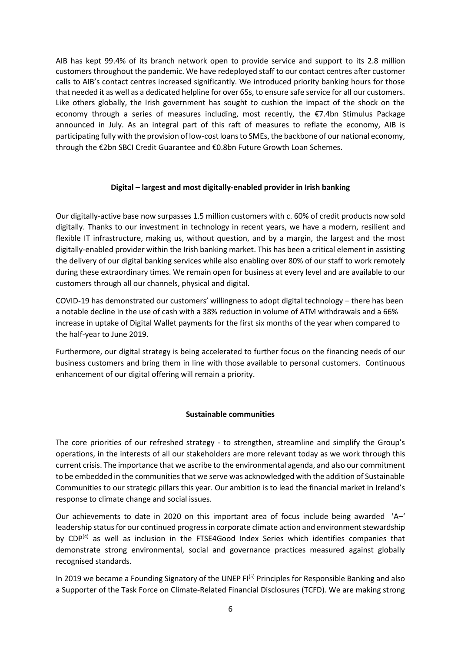AIB has kept 99.4% of its branch network open to provide service and support to its 2.8 million customers throughout the pandemic. We have redeployed staff to our contact centres after customer calls to AIB's contact centres increased significantly. We introduced priority banking hours for those that needed it as well as a dedicated helpline for over 65s, to ensure safe service for all our customers. Like others globally, the Irish government has sought to cushion the impact of the shock on the economy through a series of measures including, most recently, the €7.4bn Stimulus Package announced in July. As an integral part of this raft of measures to reflate the economy, AIB is participating fully with the provision of low-cost loans to SMEs, the backbone of our national economy, through the €2bn SBCI Credit Guarantee and €0.8bn Future Growth Loan Schemes.

## **Digital – largest and most digitally-enabled provider in Irish banking**

Our digitally-active base now surpasses 1.5 million customers with c. 60% of credit products now sold digitally. Thanks to our investment in technology in recent years, we have a modern, resilient and flexible IT infrastructure, making us, without question, and by a margin, the largest and the most digitally-enabled provider within the Irish banking market. This has been a critical element in assisting the delivery of our digital banking services while also enabling over 80% of our staff to work remotely during these extraordinary times. We remain open for business at every level and are available to our customers through all our channels, physical and digital.

COVID-19 has demonstrated our customers' willingness to adopt digital technology – there has been a notable decline in the use of cash with a 38% reduction in volume of ATM withdrawals and a 66% increase in uptake of Digital Wallet payments for the first six months of the year when compared to the half-year to June 2019.

Furthermore, our digital strategy is being accelerated to further focus on the financing needs of our business customers and bring them in line with those available to personal customers. Continuous enhancement of our digital offering will remain a priority.

## **Sustainable communities**

The core priorities of our refreshed strategy - to strengthen, streamline and simplify the Group's operations, in the interests of all our stakeholders are more relevant today as we work through this current crisis. The importance that we ascribe to the environmental agenda, and also our commitment to be embedded in the communities that we serve was acknowledged with the addition of Sustainable Communities to our strategic pillars this year. Our ambition is to lead the financial market in Ireland's response to climate change and social issues.

Our achievements to date in 2020 on this important area of focus include being awarded 'A–' leadership status for our continued progress in corporate climate action and environment stewardship by CDP<sup>(4)</sup> as well as inclusion in the FTSE4Good Index Series which identifies companies that demonstrate strong environmental, social and governance practices measured against globally recognised standards.

In 2019 we became a Founding Signatory of the UNEP  $F(I^{(5)}$  Principles for Responsible Banking and also a Supporter of the Task Force on Climate-Related Financial Disclosures (TCFD). We are making strong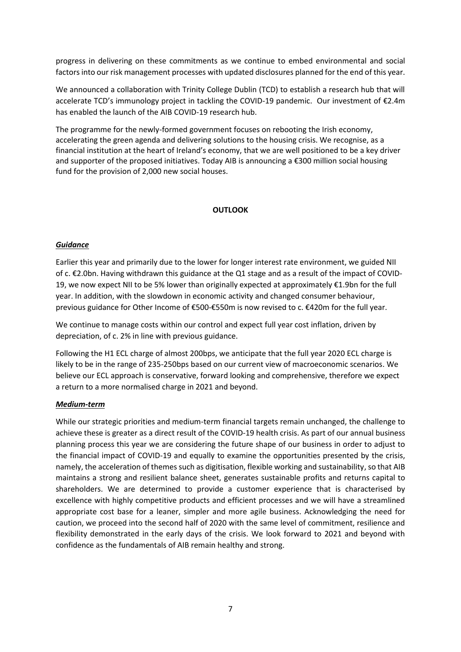progress in delivering on these commitments as we continue to embed environmental and social factors into our risk management processes with updated disclosures planned for the end of this year.

We announced a collaboration with Trinity College Dublin (TCD) to establish a research hub that will accelerate TCD's immunology project in tackling the COVID-19 pandemic. Our investment of €2.4m has enabled the launch of the AIB COVID-19 research hub.

The programme for the newly-formed government focuses on rebooting the Irish economy, accelerating the green agenda and delivering solutions to the housing crisis. We recognise, as a financial institution at the heart of Ireland's economy, that we are well positioned to be a key driver and supporter of the proposed initiatives. Today AIB is announcing a €300 million social housing fund for the provision of 2,000 new social houses.

## **OUTLOOK**

## *Guidance*

Earlier this year and primarily due to the lower for longer interest rate environment, we guided NII of c. €2.0bn. Having withdrawn this guidance at the Q1 stage and as a result of the impact of COVID- 19, we now expect NII to be 5% lower than originally expected at approximately €1.9bn for the full year. In addition, with the slowdown in economic activity and changed consumer behaviour, previous guidance for Other Income of €500-€550m is now revised to c. €420m for the full year.

We continue to manage costs within our control and expect full year cost inflation, driven by depreciation, of c. 2% in line with previous guidance.

Following the H1 ECL charge of almost 200bps, we anticipate that the full year 2020 ECL charge is likely to be in the range of 235-250bps based on our current view of macroeconomic scenarios. We believe our ECL approach is conservative, forward looking and comprehensive, therefore we expect a return to a more normalised charge in 2021 and beyond.

## *Medium-term*

While our strategic priorities and medium-term financial targets remain unchanged, the challenge to achieve these is greater as a direct result of the COVID-19 health crisis. As part of our annual business planning process this year we are considering the future shape of our business in order to adjust to the financial impact of COVID-19 and equally to examine the opportunities presented by the crisis, namely, the acceleration of themes such as digitisation, flexible working and sustainability, so that AIB maintains a strong and resilient balance sheet, generates sustainable profits and returns capital to shareholders. We are determined to provide a customer experience that is characterised by excellence with highly competitive products and efficient processes and we will have a streamlined appropriate cost base for a leaner, simpler and more agile business. Acknowledging the need for caution, we proceed into the second half of 2020 with the same level of commitment, resilience and flexibility demonstrated in the early days of the crisis. We look forward to 2021 and beyond with confidence as the fundamentals of AIB remain healthy and strong.